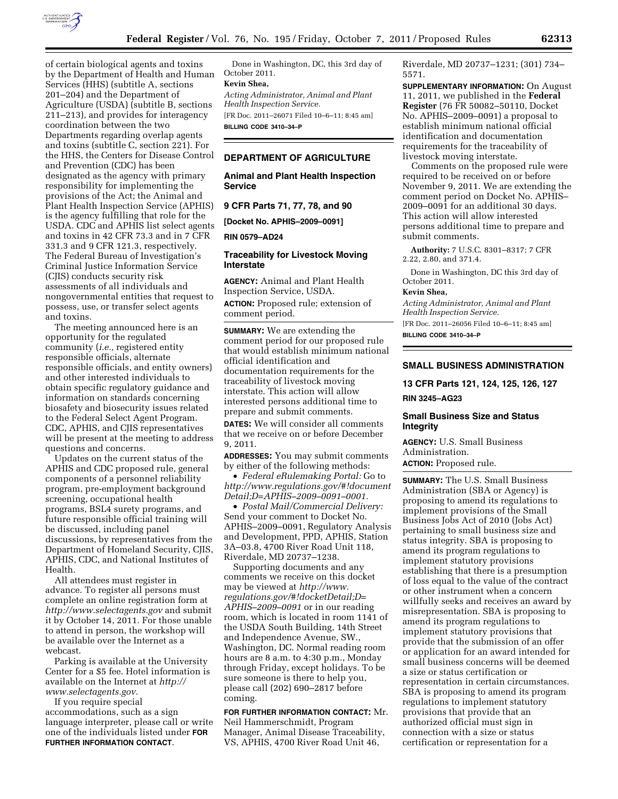

of certain biological agents and toxins by the Department of Health and Human Services (HHS) (subtitle A, sections 201–204) and the Department of Agriculture (USDA) (subtitle B, sections 211–213), and provides for interagency coordination between the two Departments regarding overlap agents and toxins (subtitle C, section 221). For the HHS, the Centers for Disease Control and Prevention (CDC) has been designated as the agency with primary responsibility for implementing the provisions of the Act; the Animal and Plant Health Inspection Service (APHIS) is the agency fulfilling that role for the USDA. CDC and APHIS list select agents and toxins in 42 CFR 73.3 and in 7 CFR 331.3 and 9 CFR 121.3, respectively. The Federal Bureau of Investigation's Criminal Justice Information Service (CJIS) conducts security risk assessments of all individuals and nongovernmental entities that request to possess, use, or transfer select agents and toxins.

The meeting announced here is an opportunity for the regulated community (*i.e.,* registered entity responsible officials, alternate responsible officials, and entity owners) and other interested individuals to obtain specific regulatory guidance and information on standards concerning biosafety and biosecurity issues related to the Federal Select Agent Program. CDC, APHIS, and CJIS representatives will be present at the meeting to address questions and concerns.

Updates on the current status of the APHIS and CDC proposed rule, general components of a personnel reliability program, pre-employment background screening, occupational health programs, BSL4 surety programs, and future responsible official training will be discussed, including panel discussions, by representatives from the Department of Homeland Security, CJIS, APHIS, CDC, and National Institutes of Health.

All attendees must register in advance. To register all persons must complete an online registration form at *<http://www.selectagents.gov>*and submit it by October 14, 2011. For those unable to attend in person, the workshop will be available over the Internet as a webcast.

Parking is available at the University Center for a \$5 fee. Hotel information is available on the Internet at *[http://](http://www.selectagents.gov) [www.selectagents.gov.](http://www.selectagents.gov)* 

If you require special accommodations, such as a sign language interpreter, please call or write one of the individuals listed under **FOR FURTHER INFORMATION CONTACT**.

Done in Washington, DC, this 3rd day of October 2011.

# **Kevin Shea,**

*Acting Administrator, Animal and Plant Health Inspection Service.* 

[FR Doc. 2011–26071 Filed 10–6–11; 8:45 am] **BILLING CODE 3410–34–P** 

### **DEPARTMENT OF AGRICULTURE**

**Animal and Plant Health Inspection Service** 

**9 CFR Parts 71, 77, 78, and 90** 

**[Docket No. APHIS–2009–0091]** 

**RIN 0579–AD24** 

### **Traceability for Livestock Moving Interstate**

**AGENCY:** Animal and Plant Health Inspection Service, USDA.

**ACTION:** Proposed rule; extension of comment period.

**SUMMARY:** We are extending the comment period for our proposed rule that would establish minimum national official identification and documentation requirements for the traceability of livestock moving interstate. This action will allow interested persons additional time to prepare and submit comments.

**DATES:** We will consider all comments that we receive on or before December 9, 2011.

**ADDRESSES:** You may submit comments by either of the following methods:

• *Federal eRulemaking Portal:* Go to *[http://www.regulations.gov/#!document](http://www.regulations.gov/#!documentDetail;D=APHIS-2009-0091-0001) [Detail;D=APHIS–2009–0091–0001.](http://www.regulations.gov/#!documentDetail;D=APHIS-2009-0091-0001)* 

• *Postal Mail/Commercial Delivery:*  Send your comment to Docket No. APHIS–2009–0091, Regulatory Analysis and Development, PPD, APHIS, Station 3A–03.8, 4700 River Road Unit 118, Riverdale, MD 20737–1238.

Supporting documents and any comments we receive on this docket may be viewed at *[http://www.](http://www.regulations.gov/#!docketDetail;D=APHIS-2009-0091) [regulations.gov/#!docketDetail;D=](http://www.regulations.gov/#!docketDetail;D=APHIS-2009-0091) [APHIS–2009–0091](http://www.regulations.gov/#!docketDetail;D=APHIS-2009-0091)* or in our reading room, which is located in room 1141 of the USDA South Building, 14th Street and Independence Avenue, SW., Washington, DC. Normal reading room hours are 8 a.m. to 4:30 p.m., Monday through Friday, except holidays. To be sure someone is there to help you, please call (202) 690–2817 before coming.

### **FOR FURTHER INFORMATION CONTACT:** Mr.

Neil Hammerschmidt, Program Manager, Animal Disease Traceability, VS, APHIS, 4700 River Road Unit 46,

Riverdale, MD 20737–1231; (301) 734– 5571.

**SUPPLEMENTARY INFORMATION:** On August 11, 2011, we published in the **Federal Register** (76 FR 50082–50110, Docket No. APHIS–2009–0091) a proposal to establish minimum national official identification and documentation requirements for the traceability of livestock moving interstate.

Comments on the proposed rule were required to be received on or before November 9, 2011. We are extending the comment period on Docket No. APHIS– 2009–0091 for an additional 30 days. This action will allow interested persons additional time to prepare and submit comments.

**Authority:** 7 U.S.C. 8301–8317; 7 CFR 2.22, 2.80, and 371.4.

Done in Washington, DC this 3rd day of October 2011.

#### **Kevin Shea,**

*Acting Administrator, Animal and Plant Health Inspection Service.*  [FR Doc. 2011–26056 Filed 10–6–11; 8:45 am]

**BILLING CODE 3410–34–P** 

# **SMALL BUSINESS ADMINISTRATION**

**13 CFR Parts 121, 124, 125, 126, 127 RIN 3245–AG23** 

# **Small Business Size and Status Integrity**

**AGENCY:** U.S. Small Business Administration.

**ACTION:** Proposed rule.

**SUMMARY:** The U.S. Small Business Administration (SBA or Agency) is proposing to amend its regulations to implement provisions of the Small Business Jobs Act of 2010 (Jobs Act) pertaining to small business size and status integrity. SBA is proposing to amend its program regulations to implement statutory provisions establishing that there is a presumption of loss equal to the value of the contract or other instrument when a concern willfully seeks and receives an award by misrepresentation. SBA is proposing to amend its program regulations to implement statutory provisions that provide that the submission of an offer or application for an award intended for small business concerns will be deemed a size or status certification or representation in certain circumstances. SBA is proposing to amend its program regulations to implement statutory provisions that provide that an authorized official must sign in connection with a size or status certification or representation for a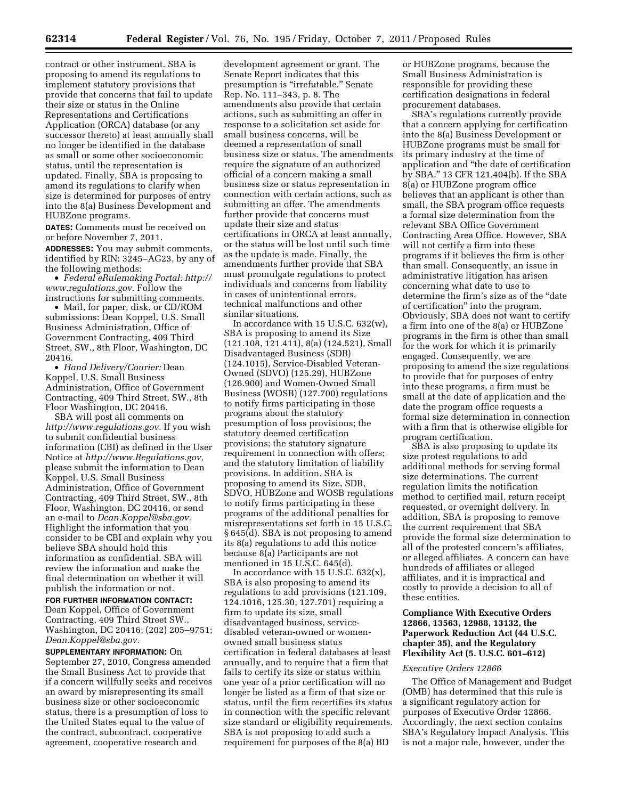contract or other instrument. SBA is proposing to amend its regulations to implement statutory provisions that provide that concerns that fail to update their size or status in the Online Representations and Certifications Application (ORCA) database (or any successor thereto) at least annually shall no longer be identified in the database as small or some other socioeconomic status, until the representation is updated. Finally, SBA is proposing to amend its regulations to clarify when size is determined for purposes of entry into the 8(a) Business Development and HUBZone programs.

**DATES:** Comments must be received on or before November 7, 2011.

**ADDRESSES:** You may submit comments, identified by RIN: 3245–AG23, by any of the following methods:

• *Federal eRulemaking Portal: [http://](http://www.regulations.gov)  [www.regulations.gov](http://www.regulations.gov)*. Follow the instructions for submitting comments.

• Mail, for paper, disk, or CD/ROM submissions: Dean Koppel, U.S. Small Business Administration, Office of Government Contracting, 409 Third Street, SW., 8th Floor, Washington, DC 20416.

• *Hand Delivery/Courier:* Dean Koppel, U.S. Small Business Administration, Office of Government Contracting, 409 Third Street, SW., 8th Floor Washington, DC 20416.

SBA will post all comments on *[http://www.regulations.gov.](http://www.regulations.gov)* If you wish to submit confidential business information (CBI) as defined in the User Notice at *[http://www.Regulations.gov,](http://www.Regulations.gov)*  please submit the information to Dean Koppel, U.S. Small Business Administration, Office of Government Contracting, 409 Third Street, SW., 8th Floor, Washington, DC 20416, or send an e-mail to *[Dean.Koppel@sba.gov.](mailto:Dean.Koppel@sba.gov)*  Highlight the information that you consider to be CBI and explain why you believe SBA should hold this information as confidential. SBA will review the information and make the final determination on whether it will publish the information or not.

**FOR FURTHER INFORMATION CONTACT:**  Dean Koppel, Office of Government Contracting, 409 Third Street SW., Washington, DC 20416; (202) 205–9751; *[Dean.Koppel@sba.gov.](mailto:Dean.Koppel@sba.gov)* 

**SUPPLEMENTARY INFORMATION:** On September 27, 2010, Congress amended the Small Business Act to provide that if a concern willfully seeks and receives an award by misrepresenting its small business size or other socioeconomic status, there is a presumption of loss to the United States equal to the value of the contract, subcontract, cooperative agreement, cooperative research and

development agreement or grant. The Senate Report indicates that this presumption is "irrefutable." Senate Rep. No. 111–343, p. 8. The amendments also provide that certain actions, such as submitting an offer in response to a solicitation set aside for small business concerns, will be deemed a representation of small business size or status. The amendments require the signature of an authorized official of a concern making a small business size or status representation in connection with certain actions, such as submitting an offer. The amendments further provide that concerns must update their size and status certifications in ORCA at least annually, or the status will be lost until such time as the update is made. Finally, the amendments further provide that SBA must promulgate regulations to protect individuals and concerns from liability in cases of unintentional errors, technical malfunctions and other similar situations.

In accordance with 15 U.S.C. 632(w), SBA is proposing to amend its Size (121.108, 121.411), 8(a) (124.521), Small Disadvantaged Business (SDB) (124.1015), Service-Disabled Veteran-Owned (SDVO) (125.29), HUBZone (126.900) and Women-Owned Small Business (WOSB) (127.700) regulations to notify firms participating in those programs about the statutory presumption of loss provisions; the statutory deemed certification provisions; the statutory signature requirement in connection with offers; and the statutory limitation of liability provisions. In addition, SBA is proposing to amend its Size, SDB, SDVO, HUBZone and WOSB regulations to notify firms participating in these programs of the additional penalties for misrepresentations set forth in 15 U.S.C. § 645(d). SBA is not proposing to amend its 8(a) regulations to add this notice because 8(a) Participants are not mentioned in 15 U.S.C. 645(d).

In accordance with 15 U.S.C.  $632(x)$ , SBA is also proposing to amend its regulations to add provisions (121.109, 124.1016, 125.30, 127.701) requiring a firm to update its size, small disadvantaged business, servicedisabled veteran-owned or womenowned small business status certification in federal databases at least annually, and to require that a firm that fails to certify its size or status within one year of a prior certification will no longer be listed as a firm of that size or status, until the firm recertifies its status in connection with the specific relevant size standard or eligibility requirements. SBA is not proposing to add such a requirement for purposes of the 8(a) BD

or HUBZone programs, because the Small Business Administration is responsible for providing these certification designations in federal procurement databases.

SBA's regulations currently provide that a concern applying for certification into the 8(a) Business Development or HUBZone programs must be small for its primary industry at the time of application and ''the date of certification by SBA.'' 13 CFR 121.404(b). If the SBA 8(a) or HUBZone program office believes that an applicant is other than small, the SBA program office requests a formal size determination from the relevant SBA Office Government Contracting Area Office. However, SBA will not certify a firm into these programs if it believes the firm is other than small. Consequently, an issue in administrative litigation has arisen concerning what date to use to determine the firm's size as of the "date of certification'' into the program. Obviously, SBA does not want to certify a firm into one of the 8(a) or HUBZone programs in the firm is other than small for the work for which it is primarily engaged. Consequently, we are proposing to amend the size regulations to provide that for purposes of entry into these programs, a firm must be small at the date of application and the date the program office requests a formal size determination in connection with a firm that is otherwise eligible for program certification.

SBA is also proposing to update its size protest regulations to add additional methods for serving formal size determinations. The current regulation limits the notification method to certified mail, return receipt requested, or overnight delivery. In addition, SBA is proposing to remove the current requirement that SBA provide the formal size determination to all of the protested concern's affiliates, or alleged affiliates. A concern can have hundreds of affiliates or alleged affiliates, and it is impractical and costly to provide a decision to all of these entities.

## **Compliance With Executive Orders 12866, 13563, 12988, 13132, the Paperwork Reduction Act (44 U.S.C. chapter 35), and the Regulatory Flexibility Act (5. U.S.C. 601–612)**

### *Executive Orders 12866*

The Office of Management and Budget (OMB) has determined that this rule is a significant regulatory action for purposes of Executive Order 12866. Accordingly, the next section contains SBA's Regulatory Impact Analysis. This is not a major rule, however, under the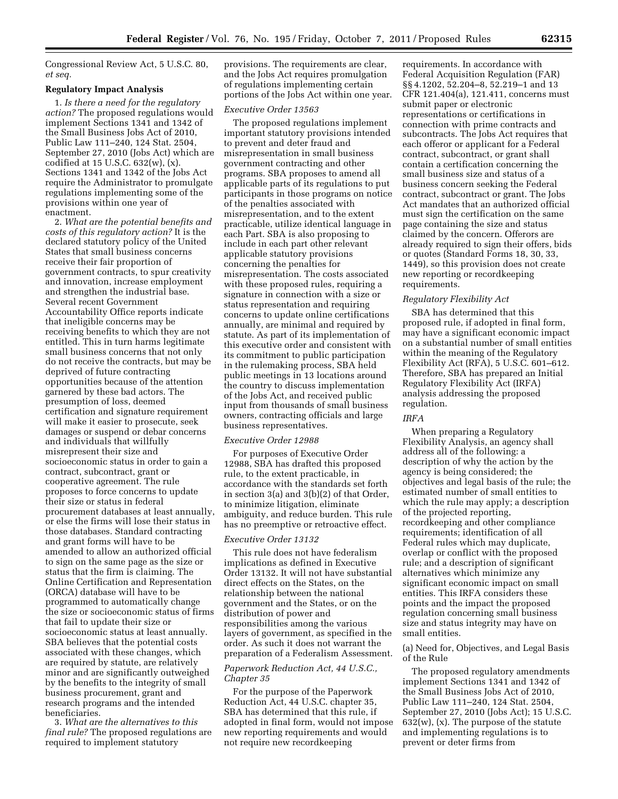Congressional Review Act, 5 U.S.C. 80, *et seq.* 

#### **Regulatory Impact Analysis**

1. *Is there a need for the regulatory action?* The proposed regulations would implement Sections 1341 and 1342 of the Small Business Jobs Act of 2010, Public Law 111–240, 124 Stat. 2504, September 27, 2010 (Jobs Act) which are codified at 15 U.S.C. 632(w), (x). Sections 1341 and 1342 of the Jobs Act require the Administrator to promulgate regulations implementing some of the provisions within one year of enactment.

2. *What are the potential benefits and costs of this regulatory action?* It is the declared statutory policy of the United States that small business concerns receive their fair proportion of government contracts, to spur creativity and innovation, increase employment and strengthen the industrial base. Several recent Government Accountability Office reports indicate that ineligible concerns may be receiving benefits to which they are not entitled. This in turn harms legitimate small business concerns that not only do not receive the contracts, but may be deprived of future contracting opportunities because of the attention garnered by these bad actors. The presumption of loss, deemed certification and signature requirement will make it easier to prosecute, seek damages or suspend or debar concerns and individuals that willfully misrepresent their size and socioeconomic status in order to gain a contract, subcontract, grant or cooperative agreement. The rule proposes to force concerns to update their size or status in federal procurement databases at least annually, or else the firms will lose their status in those databases. Standard contracting and grant forms will have to be amended to allow an authorized official to sign on the same page as the size or status that the firm is claiming. The Online Certification and Representation (ORCA) database will have to be programmed to automatically change the size or socioeconomic status of firms that fail to update their size or socioeconomic status at least annually. SBA believes that the potential costs associated with these changes, which are required by statute, are relatively minor and are significantly outweighed by the benefits to the integrity of small business procurement, grant and research programs and the intended beneficiaries.

3. *What are the alternatives to this final rule?* The proposed regulations are required to implement statutory

provisions. The requirements are clear, and the Jobs Act requires promulgation of regulations implementing certain portions of the Jobs Act within one year.

## *Executive Order 13563*

The proposed regulations implement important statutory provisions intended to prevent and deter fraud and misrepresentation in small business government contracting and other programs. SBA proposes to amend all applicable parts of its regulations to put participants in those programs on notice of the penalties associated with misrepresentation, and to the extent practicable, utilize identical language in each Part. SBA is also proposing to include in each part other relevant applicable statutory provisions concerning the penalties for misrepresentation. The costs associated with these proposed rules, requiring a signature in connection with a size or status representation and requiring concerns to update online certifications annually, are minimal and required by statute. As part of its implementation of this executive order and consistent with its commitment to public participation in the rulemaking process, SBA held public meetings in 13 locations around the country to discuss implementation of the Jobs Act, and received public input from thousands of small business owners, contracting officials and large business representatives.

#### *Executive Order 12988*

For purposes of Executive Order 12988, SBA has drafted this proposed rule, to the extent practicable, in accordance with the standards set forth in section 3(a) and 3(b)(2) of that Order, to minimize litigation, eliminate ambiguity, and reduce burden. This rule has no preemptive or retroactive effect.

#### *Executive Order 13132*

This rule does not have federalism implications as defined in Executive Order 13132. It will not have substantial direct effects on the States, on the relationship between the national government and the States, or on the distribution of power and responsibilities among the various layers of government, as specified in the order. As such it does not warrant the preparation of a Federalism Assessment.

# *Paperwork Reduction Act, 44 U.S.C., Chapter 35*

For the purpose of the Paperwork Reduction Act, 44 U.S.C. chapter 35, SBA has determined that this rule, if adopted in final form, would not impose new reporting requirements and would not require new recordkeeping

requirements. In accordance with Federal Acquisition Regulation (FAR) §§ 4.1202, 52.204–8, 52.219–1 and 13 CFR 121.404(a), 121.411, concerns must submit paper or electronic representations or certifications in connection with prime contracts and subcontracts. The Jobs Act requires that each offeror or applicant for a Federal contract, subcontract, or grant shall contain a certification concerning the small business size and status of a business concern seeking the Federal contract, subcontract or grant. The Jobs Act mandates that an authorized official must sign the certification on the same page containing the size and status claimed by the concern. Offerors are already required to sign their offers, bids or quotes (Standard Forms 18, 30, 33, 1449), so this provision does not create new reporting or recordkeeping requirements.

### *Regulatory Flexibility Act*

SBA has determined that this proposed rule, if adopted in final form, may have a significant economic impact on a substantial number of small entities within the meaning of the Regulatory Flexibility Act (RFA), 5 U.S.C. 601–612. Therefore, SBA has prepared an Initial Regulatory Flexibility Act (IRFA) analysis addressing the proposed regulation.

#### *IRFA*

When preparing a Regulatory Flexibility Analysis, an agency shall address all of the following: a description of why the action by the agency is being considered; the objectives and legal basis of the rule; the estimated number of small entities to which the rule may apply; a description of the projected reporting, recordkeeping and other compliance requirements; identification of all Federal rules which may duplicate, overlap or conflict with the proposed rule; and a description of significant alternatives which minimize any significant economic impact on small entities. This IRFA considers these points and the impact the proposed regulation concerning small business size and status integrity may have on small entities.

(a) Need for, Objectives, and Legal Basis of the Rule

The proposed regulatory amendments implement Sections 1341 and 1342 of the Small Business Jobs Act of 2010, Public Law 111–240, 124 Stat. 2504, September 27, 2010 (Jobs Act); 15 U.S.C.  $632(w)$ , (x). The purpose of the statute and implementing regulations is to prevent or deter firms from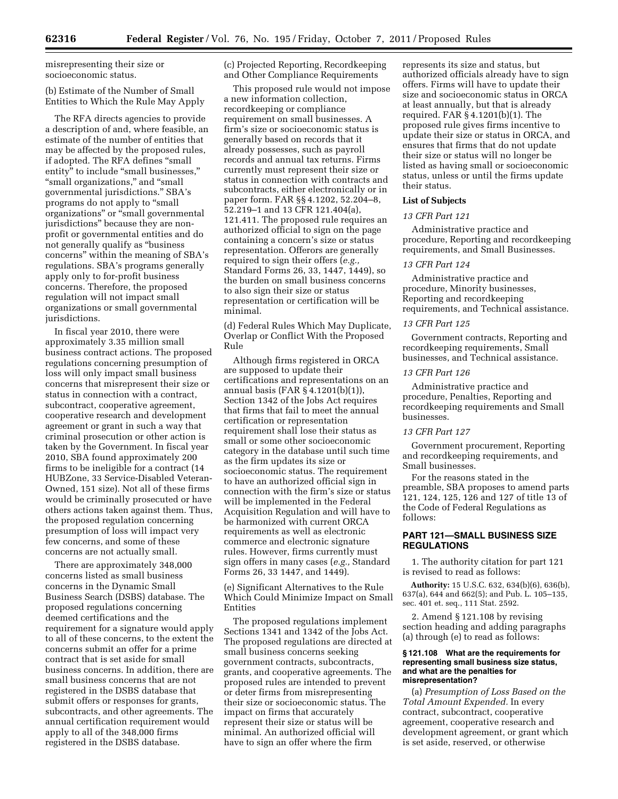misrepresenting their size or socioeconomic status.

# (b) Estimate of the Number of Small Entities to Which the Rule May Apply

The RFA directs agencies to provide a description of and, where feasible, an estimate of the number of entities that may be affected by the proposed rules, if adopted. The RFA defines "small entity" to include "small businesses," "small organizations," and "small governmental jurisdictions.'' SBA's programs do not apply to ''small organizations'' or ''small governmental jurisdictions'' because they are nonprofit or governmental entities and do not generally qualify as ''business concerns'' within the meaning of SBA's regulations. SBA's programs generally apply only to for-profit business concerns. Therefore, the proposed regulation will not impact small organizations or small governmental jurisdictions.

In fiscal year 2010, there were approximately 3.35 million small business contract actions. The proposed regulations concerning presumption of loss will only impact small business concerns that misrepresent their size or status in connection with a contract, subcontract, cooperative agreement, cooperative research and development agreement or grant in such a way that criminal prosecution or other action is taken by the Government. In fiscal year 2010, SBA found approximately 200 firms to be ineligible for a contract (14 HUBZone, 33 Service-Disabled Veteran-Owned, 151 size). Not all of these firms would be criminally prosecuted or have others actions taken against them. Thus, the proposed regulation concerning presumption of loss will impact very few concerns, and some of these concerns are not actually small.

There are approximately 348,000 concerns listed as small business concerns in the Dynamic Small Business Search (DSBS) database. The proposed regulations concerning deemed certifications and the requirement for a signature would apply to all of these concerns, to the extent the concerns submit an offer for a prime contract that is set aside for small business concerns. In addition, there are small business concerns that are not registered in the DSBS database that submit offers or responses for grants, subcontracts, and other agreements. The annual certification requirement would apply to all of the 348,000 firms registered in the DSBS database.

(c) Projected Reporting, Recordkeeping and Other Compliance Requirements

This proposed rule would not impose a new information collection, recordkeeping or compliance requirement on small businesses. A firm's size or socioeconomic status is generally based on records that it already possesses, such as payroll records and annual tax returns. Firms currently must represent their size or status in connection with contracts and subcontracts, either electronically or in paper form. FAR §§ 4.1202, 52.204–8, 52.219–1 and 13 CFR 121.404(a), 121.411. The proposed rule requires an authorized official to sign on the page containing a concern's size or status representation. Offerors are generally required to sign their offers (*e.g.,*  Standard Forms 26, 33, 1447, 1449), so the burden on small business concerns to also sign their size or status representation or certification will be minimal.

(d) Federal Rules Which May Duplicate, Overlap or Conflict With the Proposed Rule

Although firms registered in ORCA are supposed to update their certifications and representations on an annual basis (FAR § 4.1201(b)(1)), Section 1342 of the Jobs Act requires that firms that fail to meet the annual certification or representation requirement shall lose their status as small or some other socioeconomic category in the database until such time as the firm updates its size or socioeconomic status. The requirement to have an authorized official sign in connection with the firm's size or status will be implemented in the Federal Acquisition Regulation and will have to be harmonized with current ORCA requirements as well as electronic commerce and electronic signature rules. However, firms currently must sign offers in many cases (*e.g.,* Standard Forms 26, 33 1447, and 1449).

(e) Significant Alternatives to the Rule Which Could Minimize Impact on Small Entities

The proposed regulations implement Sections 1341 and 1342 of the Jobs Act. The proposed regulations are directed at small business concerns seeking government contracts, subcontracts, grants, and cooperative agreements. The proposed rules are intended to prevent or deter firms from misrepresenting their size or socioeconomic status. The impact on firms that accurately represent their size or status will be minimal. An authorized official will have to sign an offer where the firm

represents its size and status, but authorized officials already have to sign offers. Firms will have to update their size and socioeconomic status in ORCA at least annually, but that is already required. FAR § 4.1201(b)(1). The proposed rule gives firms incentive to update their size or status in ORCA, and ensures that firms that do not update their size or status will no longer be listed as having small or socioeconomic status, unless or until the firms update their status.

### **List of Subjects**

## *13 CFR Part 121*

Administrative practice and procedure, Reporting and recordkeeping requirements, and Small Businesses.

### *13 CFR Part 124*

Administrative practice and procedure, Minority businesses, Reporting and recordkeeping requirements, and Technical assistance.

#### *13 CFR Part 125*

Government contracts, Reporting and recordkeeping requirements, Small businesses, and Technical assistance.

### *13 CFR Part 126*

Administrative practice and procedure, Penalties, Reporting and recordkeeping requirements and Small businesses.

# *13 CFR Part 127*

Government procurement, Reporting and recordkeeping requirements, and Small businesses.

For the reasons stated in the preamble, SBA proposes to amend parts 121, 124, 125, 126 and 127 of title 13 of the Code of Federal Regulations as follows:

# **PART 121—SMALL BUSINESS SIZE REGULATIONS**

1. The authority citation for part 121 is revised to read as follows:

**Authority:** 15 U.S.C. 632, 634(b)(6), 636(b), 637(a), 644 and 662(5); and Pub. L. 105–135, sec. 401 et. seq., 111 Stat. 2592.

2. Amend § 121.108 by revising section heading and adding paragraphs (a) through (e) to read as follows:

#### **§ 121.108 What are the requirements for representing small business size status, and what are the penalties for misrepresentation?**

(a) *Presumption of Loss Based on the Total Amount Expended.* In every contract, subcontract, cooperative agreement, cooperative research and development agreement, or grant which is set aside, reserved, or otherwise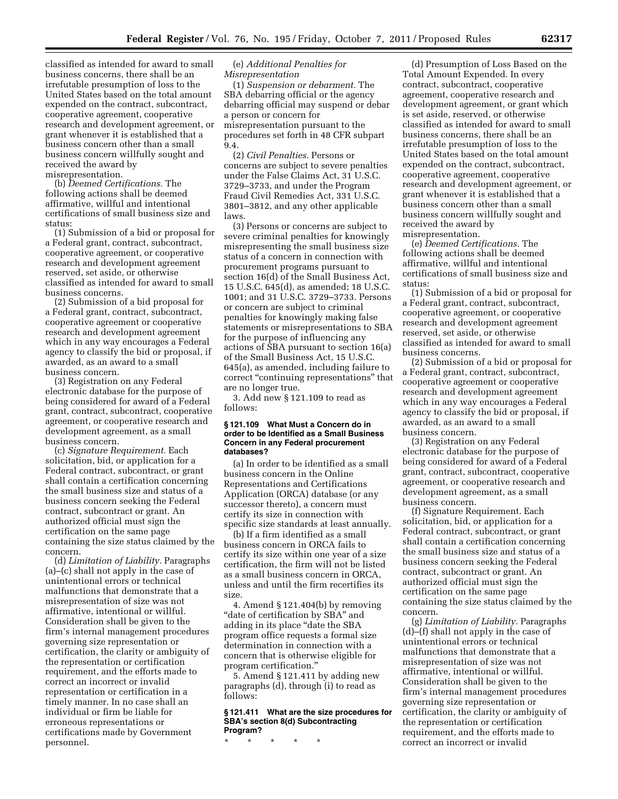classified as intended for award to small business concerns, there shall be an irrefutable presumption of loss to the United States based on the total amount expended on the contract, subcontract, cooperative agreement, cooperative research and development agreement, or grant whenever it is established that a business concern other than a small business concern willfully sought and received the award by misrepresentation.

(b) *Deemed Certifications.* The following actions shall be deemed affirmative, willful and intentional certifications of small business size and status:

(1) Submission of a bid or proposal for a Federal grant, contract, subcontract, cooperative agreement, or cooperative research and development agreement reserved, set aside, or otherwise classified as intended for award to small business concerns.

(2) Submission of a bid proposal for a Federal grant, contract, subcontract, cooperative agreement or cooperative research and development agreement which in any way encourages a Federal agency to classify the bid or proposal, if awarded, as an award to a small business concern.

(3) Registration on any Federal electronic database for the purpose of being considered for award of a Federal grant, contract, subcontract, cooperative agreement, or cooperative research and development agreement, as a small business concern.

(c) *Signature Requirement.* Each solicitation, bid, or application for a Federal contract, subcontract, or grant shall contain a certification concerning the small business size and status of a business concern seeking the Federal contract, subcontract or grant. An authorized official must sign the certification on the same page containing the size status claimed by the concern.

(d) *Limitation of Liability.* Paragraphs (a)–(c) shall not apply in the case of unintentional errors or technical malfunctions that demonstrate that a misrepresentation of size was not affirmative, intentional or willful. Consideration shall be given to the firm's internal management procedures governing size representation or certification, the clarity or ambiguity of the representation or certification requirement, and the efforts made to correct an incorrect or invalid representation or certification in a timely manner. In no case shall an individual or firm be liable for erroneous representations or certifications made by Government personnel.

### (e) *Additional Penalties for Misrepresentation*

(1) *Suspension or debarment.* The SBA debarring official or the agency debarring official may suspend or debar a person or concern for misrepresentation pursuant to the procedures set forth in 48 CFR subpart 9.4.

(2) *Civil Penalties.* Persons or concerns are subject to severe penalties under the False Claims Act, 31 U.S.C. 3729–3733, and under the Program Fraud Civil Remedies Act, 331 U.S.C. 3801–3812, and any other applicable laws.

(3) Persons or concerns are subject to severe criminal penalties for knowingly misrepresenting the small business size status of a concern in connection with procurement programs pursuant to section 16(d) of the Small Business Act, 15 U.S.C. 645(d), as amended; 18 U.S.C. 1001; and 31 U.S.C. 3729–3733. Persons or concern are subject to criminal penalties for knowingly making false statements or misrepresentations to SBA for the purpose of influencing any actions of SBA pursuant to section 16(a) of the Small Business Act, 15 U.S.C. 645(a), as amended, including failure to correct ''continuing representations'' that are no longer true.

3. Add new § 121.109 to read as follows:

### **§ 121.109 What Must a Concern do in order to be Identified as a Small Business Concern in any Federal procurement databases?**

(a) In order to be identified as a small business concern in the Online Representations and Certifications Application (ORCA) database (or any successor thereto), a concern must certify its size in connection with specific size standards at least annually.

(b) If a firm identified as a small business concern in ORCA fails to certify its size within one year of a size certification, the firm will not be listed as a small business concern in ORCA, unless and until the firm recertifies its size.

4. Amend § 121.404(b) by removing "date of certification by SBA" and adding in its place ''date the SBA program office requests a formal size determination in connection with a concern that is otherwise eligible for program certification.''

5. Amend § 121.411 by adding new paragraphs (d), through (i) to read as follows:

## **§ 121.411 What are the size procedures for SBA's section 8(d) Subcontracting Program?**

\* \* \* \* \*

(d) Presumption of Loss Based on the Total Amount Expended. In every contract, subcontract, cooperative agreement, cooperative research and development agreement, or grant which is set aside, reserved, or otherwise classified as intended for award to small business concerns, there shall be an irrefutable presumption of loss to the United States based on the total amount expended on the contract, subcontract, cooperative agreement, cooperative research and development agreement, or grant whenever it is established that a business concern other than a small business concern willfully sought and received the award by misrepresentation.

(e) *Deemed Certifications.* The following actions shall be deemed affirmative, willful and intentional certifications of small business size and status:

(1) Submission of a bid or proposal for a Federal grant, contract, subcontract, cooperative agreement, or cooperative research and development agreement reserved, set aside, or otherwise classified as intended for award to small business concerns.

(2) Submission of a bid or proposal for a Federal grant, contract, subcontract, cooperative agreement or cooperative research and development agreement which in any way encourages a Federal agency to classify the bid or proposal, if awarded, as an award to a small business concern.

(3) Registration on any Federal electronic database for the purpose of being considered for award of a Federal grant, contract, subcontract, cooperative agreement, or cooperative research and development agreement, as a small business concern.

(f) Signature Requirement. Each solicitation, bid, or application for a Federal contract, subcontract, or grant shall contain a certification concerning the small business size and status of a business concern seeking the Federal contract, subcontract or grant. An authorized official must sign the certification on the same page containing the size status claimed by the concern.

(g) *Limitation of Liability.* Paragraphs (d)–(f) shall not apply in the case of unintentional errors or technical malfunctions that demonstrate that a misrepresentation of size was not affirmative, intentional or willful. Consideration shall be given to the firm's internal management procedures governing size representation or certification, the clarity or ambiguity of the representation or certification requirement, and the efforts made to correct an incorrect or invalid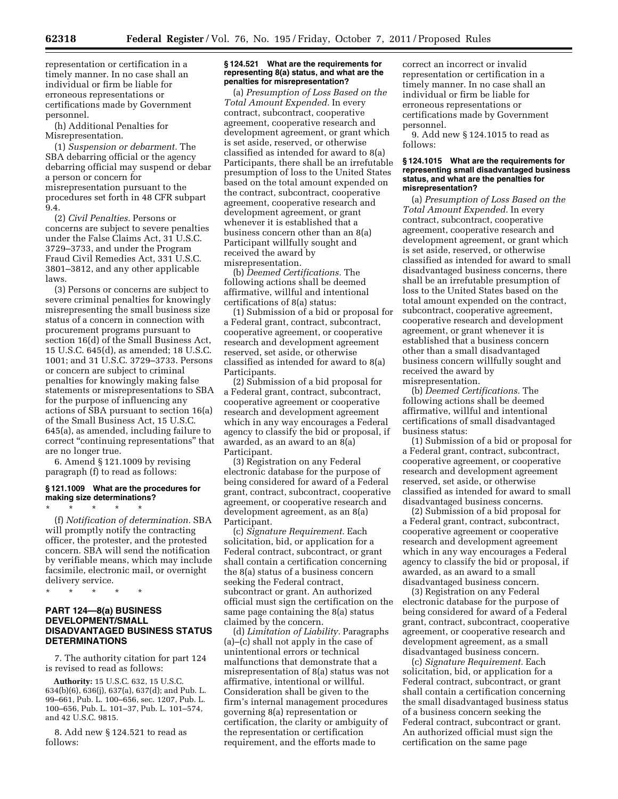representation or certification in a timely manner. In no case shall an individual or firm be liable for erroneous representations or certifications made by Government personnel.

(h) Additional Penalties for Misrepresentation.

(1) *Suspension or debarment.* The SBA debarring official or the agency debarring official may suspend or debar a person or concern for misrepresentation pursuant to the procedures set forth in 48 CFR subpart 9.4.

(2) *Civil Penalties.* Persons or concerns are subject to severe penalties under the False Claims Act, 31 U.S.C. 3729–3733, and under the Program Fraud Civil Remedies Act, 331 U.S.C. 3801–3812, and any other applicable laws.

(3) Persons or concerns are subject to severe criminal penalties for knowingly misrepresenting the small business size status of a concern in connection with procurement programs pursuant to section 16(d) of the Small Business Act, 15 U.S.C. 645(d), as amended; 18 U.S.C. 1001; and 31 U.S.C. 3729–3733. Persons or concern are subject to criminal penalties for knowingly making false statements or misrepresentations to SBA for the purpose of influencing any actions of SBA pursuant to section 16(a) of the Small Business Act, 15 U.S.C. 645(a), as amended, including failure to correct ''continuing representations'' that are no longer true.

6. Amend § 121.1009 by revising paragraph (f) to read as follows:

# **§ 121.1009 What are the procedures for making size determinations?**

\* \* \* \* \*

(f) *Notification of determination.* SBA will promptly notify the contracting officer, the protester, and the protested concern. SBA will send the notification by verifiable means, which may include facsimile, electronic mail, or overnight delivery service.

\* \* \* \* \*

## **PART 124—8(a) BUSINESS DEVELOPMENT/SMALL DISADVANTAGED BUSINESS STATUS DETERMINATIONS**

7. The authority citation for part 124 is revised to read as follows:

**Authority:** 15 U.S.C. 632, 15 U.S.C. 634(b)(6), 636(j), 637(a), 637(d); and Pub. L. 99–661, Pub. L. 100–656, sec. 1207, Pub. L. 100–656, Pub. L. 101–37, Pub. L. 101–574, and 42 U.S.C. 9815.

8. Add new § 124.521 to read as follows:

#### **§ 124.521 What are the requirements for representing 8(a) status, and what are the penalties for misrepresentation?**

(a) *Presumption of Loss Based on the Total Amount Expended.* In every contract, subcontract, cooperative agreement, cooperative research and development agreement, or grant which is set aside, reserved, or otherwise classified as intended for award to 8(a) Participants, there shall be an irrefutable presumption of loss to the United States based on the total amount expended on the contract, subcontract, cooperative agreement, cooperative research and development agreement, or grant whenever it is established that a business concern other than an 8(a) Participant willfully sought and received the award by misrepresentation.

(b) *Deemed Certifications.* The following actions shall be deemed affirmative, willful and intentional certifications of 8(a) status:

(1) Submission of a bid or proposal for a Federal grant, contract, subcontract, cooperative agreement, or cooperative research and development agreement reserved, set aside, or otherwise classified as intended for award to 8(a) Participants.

(2) Submission of a bid proposal for a Federal grant, contract, subcontract, cooperative agreement or cooperative research and development agreement which in any way encourages a Federal agency to classify the bid or proposal, if awarded, as an award to an 8(a) Participant.

(3) Registration on any Federal electronic database for the purpose of being considered for award of a Federal grant, contract, subcontract, cooperative agreement, or cooperative research and development agreement, as an 8(a) Participant.

(c) *Signature Requirement.* Each solicitation, bid, or application for a Federal contract, subcontract, or grant shall contain a certification concerning the 8(a) status of a business concern seeking the Federal contract, subcontract or grant. An authorized official must sign the certification on the same page containing the 8(a) status claimed by the concern.

(d) *Limitation of Liability.* Paragraphs (a)–(c) shall not apply in the case of unintentional errors or technical malfunctions that demonstrate that a misrepresentation of 8(a) status was not affirmative, intentional or willful. Consideration shall be given to the firm's internal management procedures governing 8(a) representation or certification, the clarity or ambiguity of the representation or certification requirement, and the efforts made to

correct an incorrect or invalid representation or certification in a timely manner. In no case shall an individual or firm be liable for erroneous representations or certifications made by Government personnel.

9. Add new § 124.1015 to read as follows:

#### **§ 124.1015 What are the requirements for representing small disadvantaged business status, and what are the penalties for misrepresentation?**

(a) *Presumption of Loss Based on the Total Amount Expended.* In every contract, subcontract, cooperative agreement, cooperative research and development agreement, or grant which is set aside, reserved, or otherwise classified as intended for award to small disadvantaged business concerns, there shall be an irrefutable presumption of loss to the United States based on the total amount expended on the contract, subcontract, cooperative agreement, cooperative research and development agreement, or grant whenever it is established that a business concern other than a small disadvantaged business concern willfully sought and received the award by misrepresentation.

(b) *Deemed Certifications.* The following actions shall be deemed affirmative, willful and intentional certifications of small disadvantaged business status:

(1) Submission of a bid or proposal for a Federal grant, contract, subcontract, cooperative agreement, or cooperative research and development agreement reserved, set aside, or otherwise classified as intended for award to small disadvantaged business concerns.

(2) Submission of a bid proposal for a Federal grant, contract, subcontract, cooperative agreement or cooperative research and development agreement which in any way encourages a Federal agency to classify the bid or proposal, if awarded, as an award to a small disadvantaged business concern.

(3) Registration on any Federal electronic database for the purpose of being considered for award of a Federal grant, contract, subcontract, cooperative agreement, or cooperative research and development agreement, as a small disadvantaged business concern.

(c) *Signature Requirement.* Each solicitation, bid, or application for a Federal contract, subcontract, or grant shall contain a certification concerning the small disadvantaged business status of a business concern seeking the Federal contract, subcontract or grant. An authorized official must sign the certification on the same page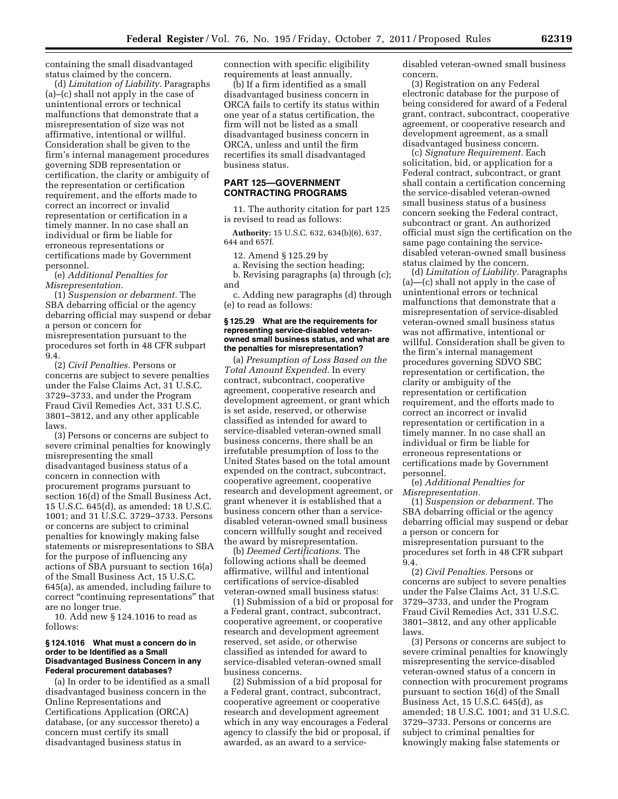containing the small disadvantaged status claimed by the concern.

(d) *Limitation of Liability.* Paragraphs (a)–(c) shall not apply in the case of unintentional errors or technical malfunctions that demonstrate that a misrepresentation of size was not affirmative, intentional or willful. Consideration shall be given to the firm's internal management procedures governing SDB representation or certification, the clarity or ambiguity of the representation or certification requirement, and the efforts made to correct an incorrect or invalid representation or certification in a timely manner. In no case shall an individual or firm be liable for erroneous representations or certifications made by Government personnel.

(e) *Additional Penalties for Misrepresentation.* 

(1) *Suspension or debarment.* The SBA debarring official or the agency debarring official may suspend or debar a person or concern for misrepresentation pursuant to the procedures set forth in 48 CFR subpart 9.4.

(2) *Civil Penalties.* Persons or concerns are subject to severe penalties under the False Claims Act, 31 U.S.C. 3729–3733, and under the Program Fraud Civil Remedies Act, 331 U.S.C. 3801–3812, and any other applicable laws.

(3) Persons or concerns are subject to severe criminal penalties for knowingly misrepresenting the small disadvantaged business status of a concern in connection with procurement programs pursuant to section 16(d) of the Small Business Act, 15 U.S.C. 645(d), as amended; 18 U.S.C. 1001; and 31 U.S.C. 3729–3733. Persons or concerns are subject to criminal penalties for knowingly making false statements or misrepresentations to SBA for the purpose of influencing any actions of SBA pursuant to section 16(a) of the Small Business Act, 15 U.S.C. 645(a), as amended, including failure to correct ''continuing representations'' that are no longer true.

10. Add new § 124.1016 to read as follows:

#### **§ 124.1016 What must a concern do in order to be Identified as a Small Disadvantaged Business Concern in any Federal procurement databases?**

(a) In order to be identified as a small disadvantaged business concern in the Online Representations and Certifications Application (ORCA) database, (or any successor thereto) a concern must certify its small disadvantaged business status in

connection with specific eligibility requirements at least annually.

(b) If a firm identified as a small disadvantaged business concern in ORCA fails to certify its status within one year of a status certification, the firm will not be listed as a small disadvantaged business concern in ORCA, unless and until the firm recertifies its small disadvantaged business status.

# **PART 125—GOVERNMENT CONTRACTING PROGRAMS**

11. The authority citation for part 125 is revised to read as follows:

**Authority:** 15 U.S.C. 632, 634(b)(6), 637, 644 and 657f.

12. Amend § 125.29 by

a. Revising the section heading;

b. Revising paragraphs (a) through (c); and

c. Adding new paragraphs (d) through (e) to read as follows:

#### **§ 125.29 What are the requirements for representing service-disabled veteranowned small business status, and what are the penalties for misrepresentation?**

(a) *Presumption of Loss Based on the Total Amount Expended.* In every contract, subcontract, cooperative agreement, cooperative research and development agreement, or grant which is set aside, reserved, or otherwise classified as intended for award to service-disabled veteran-owned small business concerns, there shall be an irrefutable presumption of loss to the United States based on the total amount expended on the contract, subcontract, cooperative agreement, cooperative research and development agreement, or grant whenever it is established that a business concern other than a servicedisabled veteran-owned small business concern willfully sought and received the award by misrepresentation.

(b) *Deemed Certifications.* The following actions shall be deemed affirmative, willful and intentional certifications of service-disabled veteran-owned small business status:

(1) Submission of a bid or proposal for a Federal grant, contract, subcontract, cooperative agreement, or cooperative research and development agreement reserved, set aside, or otherwise classified as intended for award to service-disabled veteran-owned small business concerns.

(2) Submission of a bid proposal for a Federal grant, contract, subcontract, cooperative agreement or cooperative research and development agreement which in any way encourages a Federal agency to classify the bid or proposal, if awarded, as an award to a servicedisabled veteran-owned small business concern.

(3) Registration on any Federal electronic database for the purpose of being considered for award of a Federal grant, contract, subcontract, cooperative agreement, or cooperative research and development agreement, as a small disadvantaged business concern.

(c) *Signature Requirement.* Each solicitation, bid, or application for a Federal contract, subcontract, or grant shall contain a certification concerning the service-disabled veteran-owned small business status of a business concern seeking the Federal contract, subcontract or grant. An authorized official must sign the certification on the same page containing the servicedisabled veteran-owned small business status claimed by the concern.

(d) *Limitation of Liability.* Paragraphs (a)—(c) shall not apply in the case of unintentional errors or technical malfunctions that demonstrate that a misrepresentation of service-disabled veteran-owned small business status was not affirmative, intentional or willful. Consideration shall be given to the firm's internal management procedures governing SDVO SBC representation or certification, the clarity or ambiguity of the representation or certification requirement, and the efforts made to correct an incorrect or invalid representation or certification in a timely manner. In no case shall an individual or firm be liable for erroneous representations or certifications made by Government personnel.

(e) *Additional Penalties for Misrepresentation.* 

(1) *Suspension or debarment.* The SBA debarring official or the agency debarring official may suspend or debar a person or concern for misrepresentation pursuant to the procedures set forth in 48 CFR subpart 9.4.

(2) *Civil Penalties.* Persons or concerns are subject to severe penalties under the False Claims Act, 31 U.S.C. 3729–3733, and under the Program Fraud Civil Remedies Act, 331 U.S.C. 3801–3812, and any other applicable laws.

(3) Persons or concerns are subject to severe criminal penalties for knowingly misrepresenting the service-disabled veteran-owned status of a concern in connection with procurement programs pursuant to section 16(d) of the Small Business Act, 15 U.S.C. 645(d), as amended; 18 U.S.C. 1001; and 31 U.S.C. 3729–3733. Persons or concerns are subject to criminal penalties for knowingly making false statements or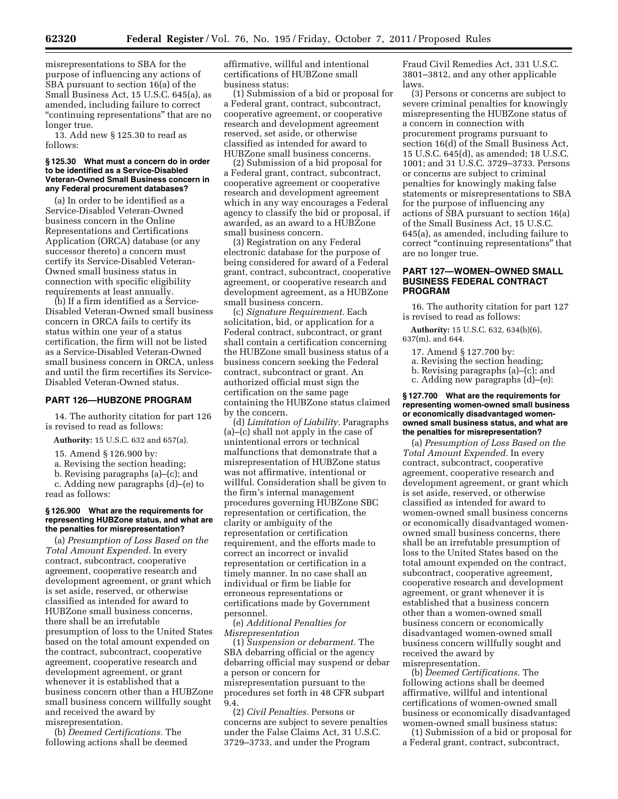misrepresentations to SBA for the purpose of influencing any actions of SBA pursuant to section 16(a) of the Small Business Act, 15 U.S.C. 645(a), as amended, including failure to correct "continuing representations" that are no longer true.

13. Add new § 125.30 to read as follows:

#### **§ 125.30 What must a concern do in order to be identified as a Service-Disabled Veteran-Owned Small Business concern in any Federal procurement databases?**

(a) In order to be identified as a Service-Disabled Veteran-Owned business concern in the Online Representations and Certifications Application (ORCA) database (or any successor thereto) a concern must certify its Service-Disabled Veteran-Owned small business status in connection with specific eligibility requirements at least annually.

(b) If a firm identified as a Service-Disabled Veteran-Owned small business concern in ORCA fails to certify its status within one year of a status certification, the firm will not be listed as a Service-Disabled Veteran-Owned small business concern in ORCA, unless and until the firm recertifies its Service-Disabled Veteran-Owned status.

# **PART 126—HUBZONE PROGRAM**

14. The authority citation for part 126 is revised to read as follows:

**Authority:** 15 U.S.C. 632 and 657(a).

15. Amend § 126.900 by:

a. Revising the section heading;

b. Revising paragraphs (a)–(c); and c. Adding new paragraphs (d)–(e) to read as follows:

### **§ 126.900 What are the requirements for representing HUBZone status, and what are the penalties for misrepresentation?**

(a) *Presumption of Loss Based on the Total Amount Expended.* In every contract, subcontract, cooperative agreement, cooperative research and development agreement, or grant which is set aside, reserved, or otherwise classified as intended for award to HUBZone small business concerns, there shall be an irrefutable presumption of loss to the United States based on the total amount expended on the contract, subcontract, cooperative agreement, cooperative research and development agreement, or grant whenever it is established that a business concern other than a HUBZone small business concern willfully sought and received the award by misrepresentation.

(b) *Deemed Certifications.* The following actions shall be deemed affirmative, willful and intentional certifications of HUBZone small business status:

(1) Submission of a bid or proposal for a Federal grant, contract, subcontract, cooperative agreement, or cooperative research and development agreement reserved, set aside, or otherwise classified as intended for award to HUBZone small business concerns.

(2) Submission of a bid proposal for a Federal grant, contract, subcontract, cooperative agreement or cooperative research and development agreement which in any way encourages a Federal agency to classify the bid or proposal, if awarded, as an award to a HUBZone small business concern.

(3) Registration on any Federal electronic database for the purpose of being considered for award of a Federal grant, contract, subcontract, cooperative agreement, or cooperative research and development agreement, as a HUBZone small business concern.

(c) *Signature Requirement.* Each solicitation, bid, or application for a Federal contract, subcontract, or grant shall contain a certification concerning the HUBZone small business status of a business concern seeking the Federal contract, subcontract or grant. An authorized official must sign the certification on the same page containing the HUBZone status claimed by the concern.

(d) *Limitation of Liability.* Paragraphs (a)–(c) shall not apply in the case of unintentional errors or technical malfunctions that demonstrate that a misrepresentation of HUBZone status was not affirmative, intentional or willful. Consideration shall be given to the firm's internal management procedures governing HUBZone SBC representation or certification, the clarity or ambiguity of the representation or certification requirement, and the efforts made to correct an incorrect or invalid representation or certification in a timely manner. In no case shall an individual or firm be liable for erroneous representations or certifications made by Government personnel.

(e) *Additional Penalties for Misrepresentation* 

(1) *Suspension or debarment.* The SBA debarring official or the agency debarring official may suspend or debar a person or concern for misrepresentation pursuant to the procedures set forth in 48 CFR subpart 9.4.

(2) *Civil Penalties.* Persons or concerns are subject to severe penalties under the False Claims Act, 31 U.S.C. 3729–3733, and under the Program

Fraud Civil Remedies Act, 331 U.S.C. 3801–3812, and any other applicable laws.

(3) Persons or concerns are subject to severe criminal penalties for knowingly misrepresenting the HUBZone status of a concern in connection with procurement programs pursuant to section 16(d) of the Small Business Act, 15 U.S.C. 645(d), as amended; 18 U.S.C. 1001; and 31 U.S.C. 3729–3733. Persons or concerns are subject to criminal penalties for knowingly making false statements or misrepresentations to SBA for the purpose of influencing any actions of SBA pursuant to section 16(a) of the Small Business Act, 15 U.S.C. 645(a), as amended, including failure to correct ''continuing representations'' that are no longer true.

### **PART 127—WOMEN–OWNED SMALL BUSINESS FEDERAL CONTRACT PROGRAM**

16. The authority citation for part 127 is revised to read as follows:

**Authority:** 15 U.S.C. 632, 634(b)(6), 637(m), and 644.

17. Amend § 127.700 by:

a. Revising the section heading;

b. Revising paragraphs (a)–(c); and

c. Adding new paragraphs (d)–(e):

#### **§ 127.700 What are the requirements for representing women-owned small business or economically disadvantaged womenowned small business status, and what are the penalties for misrepresentation?**

(a) *Presumption of Loss Based on the Total Amount Expended.* In every contract, subcontract, cooperative agreement, cooperative research and development agreement, or grant which is set aside, reserved, or otherwise classified as intended for award to women-owned small business concerns or economically disadvantaged womenowned small business concerns, there shall be an irrefutable presumption of loss to the United States based on the total amount expended on the contract, subcontract, cooperative agreement, cooperative research and development agreement, or grant whenever it is established that a business concern other than a women-owned small business concern or economically disadvantaged women-owned small business concern willfully sought and received the award by misrepresentation.

(b) *Deemed Certifications.* The following actions shall be deemed affirmative, willful and intentional certifications of women-owned small business or economically disadvantaged women-owned small business status:

(1) Submission of a bid or proposal for a Federal grant, contract, subcontract,